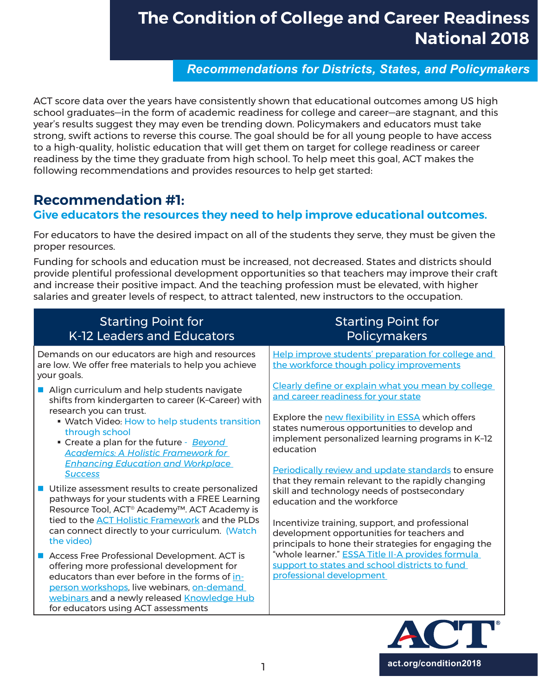*Recommendations for Districts, States, and Policymakers*

ACT score data over the years have consistently shown that educational outcomes among US high school graduates—in the form of academic readiness for college and career—are stagnant, and this year's results suggest they may even be trending down. Policymakers and educators must take strong, swift actions to reverse this course. The goal should be for all young people to have access to a high-quality, holistic education that will get them on target for college readiness or career readiness by the time they graduate from high school. To help meet this goal, ACT makes the following recommendations and provides resources to help get started:

### **Recommendation #1:**

### **Give educators the resources they need to help improve educational outcomes.**

For educators to have the desired impact on all of the students they serve, they must be given the proper resources.

Funding for schools and education must be increased, not decreased. States and districts should provide plentiful professional development opportunities so that teachers may improve their craft and increase their positive impact. And the teaching profession must be elevated, with higher salaries and greater levels of respect, to attract talented, new instructors to the occupation.

| <b>Starting Point for</b><br>K-12 Leaders and Educators                                                                                                                                                                                                                                                                                                                | <b>Starting Point for</b><br><b>Policymakers</b>                                                                                                                                                                                                                                       |
|------------------------------------------------------------------------------------------------------------------------------------------------------------------------------------------------------------------------------------------------------------------------------------------------------------------------------------------------------------------------|----------------------------------------------------------------------------------------------------------------------------------------------------------------------------------------------------------------------------------------------------------------------------------------|
| Demands on our educators are high and resources<br>are low. We offer free materials to help you achieve<br>your goals.                                                                                                                                                                                                                                                 | Help improve students' preparation for college and<br>the workforce though policy improvements                                                                                                                                                                                         |
| Align curriculum and help students navigate<br>shifts from kindergarten to career (K-Career) with<br>research you can trust.<br>• Watch Video: How to help students transition<br>through school<br>• Create a plan for the future - Beyond<br><b>Academics: A Holistic Framework for</b>                                                                              | Clearly define or explain what you mean by college<br>and career readiness for your state<br>Explore the new flexibility in ESSA which offers<br>states numerous opportunities to develop and<br>implement personalized learning programs in K-12<br>education                         |
| <b>Enhancing Education and Workplace</b><br><b>Success</b><br>Utilize assessment results to create personalized<br>pathways for your students with a FREE Learning<br>Resource Tool, ACT <sup>®</sup> Academy <sup>™</sup> . ACT Academy is<br>tied to the <b>ACT Holistic Framework</b> and the PLDs<br>can connect directly to your curriculum. (Watch<br>the video) | Periodically review and update standards to ensure<br>that they remain relevant to the rapidly changing<br>skill and technology needs of postsecondary<br>education and the workforce<br>Incentivize training, support, and professional<br>development opportunities for teachers and |
| Access Free Professional Development. ACT is<br>offering more professional development for<br>educators than ever before in the forms of in-<br>person workshops, live webinars, on-demand<br>webinars and a newly released Knowledge Hub<br>for educators using ACT assessments                                                                                       | principals to hone their strategies for engaging the<br>"whole learner." ESSA Title II-A provides formula<br>support to states and school districts to fund<br>professional development                                                                                                |

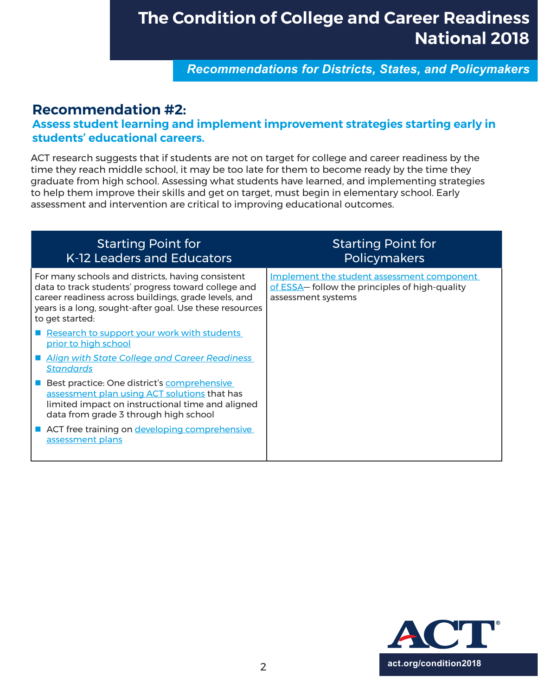*Recommendations for Districts, States, and Policymakers*

### **Recommendation #2:**

### **Assess student learning and implement improvement strategies starting early in students' educational careers.**

ACT research suggests that if students are not on target for college and career readiness by the time they reach middle school, it may be too late for them to become ready by the time they graduate from high school. Assessing what students have learned, and implementing strategies to help them improve their skills and get on target, must begin in elementary school. Early assessment and intervention are critical to improving educational outcomes.

| <b>Starting Point for</b><br>K-12 Leaders and Educators                                                                                                                                                                                        | <b>Starting Point for</b><br><b>Policymakers</b>                                                                   |
|------------------------------------------------------------------------------------------------------------------------------------------------------------------------------------------------------------------------------------------------|--------------------------------------------------------------------------------------------------------------------|
| For many schools and districts, having consistent<br>data to track students' progress toward college and<br>career readiness across buildings, grade levels, and<br>years is a long, sought-after goal. Use these resources<br>to get started: | Implement the student assessment component<br>of ESSA- follow the principles of high-quality<br>assessment systems |
| Research to support your work with students<br>prior to high school                                                                                                                                                                            |                                                                                                                    |
| <b>Align with State College and Career Readiness</b><br><u>Standards</u>                                                                                                                                                                       |                                                                                                                    |
| Best practice: One district's comprehensive<br>assessment plan using ACT solutions that has<br>limited impact on instructional time and aligned<br>data from grade 3 through high school                                                       |                                                                                                                    |
| ACT free training on developing comprehensive<br>assessment plans                                                                                                                                                                              |                                                                                                                    |

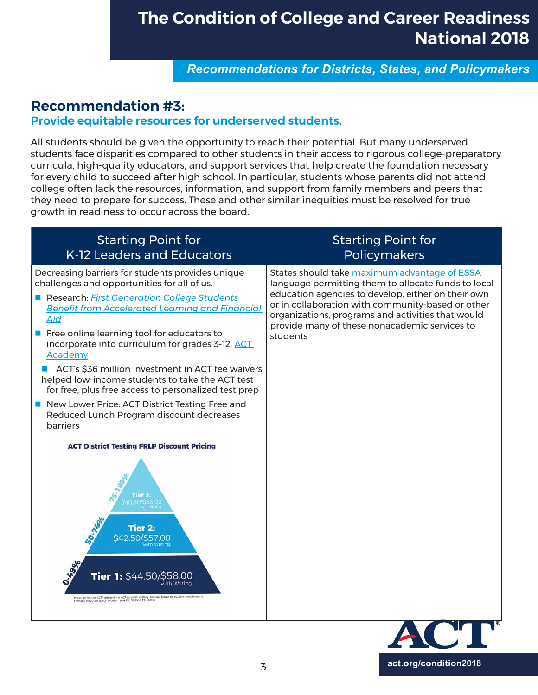*Recommendations for Districts, States, and Policymakers*

## **Recommendation #3:**

#### **Provide equitable resources for underserved students.**

All students should be given the opportunity to reach their potential. But many underserved students face disparities compared to other students in their access to rigorous college-preparatory curricula, high-quality educators, and support services that help create the foundation necessary for every child to succeed after high school. In particular, students whose parents did not attend college often lack the resources, information, and support from family members and peers that they need to prepare for success. These and other similar inequities must be resolved for true growth in readiness to occur across the board.

| <b>Starting Point for</b><br>K-12 Leaders and Educators                                                                                                                                                                                                                                                                                                                                                                                                                                                                                                                                               | <b>Starting Point for</b><br>Policymakers                                                                                                                                                                                                                                                                                        |
|-------------------------------------------------------------------------------------------------------------------------------------------------------------------------------------------------------------------------------------------------------------------------------------------------------------------------------------------------------------------------------------------------------------------------------------------------------------------------------------------------------------------------------------------------------------------------------------------------------|----------------------------------------------------------------------------------------------------------------------------------------------------------------------------------------------------------------------------------------------------------------------------------------------------------------------------------|
| Decreasing barriers for students provides unique<br>challenges and opportunities for all of us.<br>Research: First Generation College Students<br><b>Benefit from Accelerated Learning and Financial</b><br>Aid<br>Free online learning tool for educators to<br>incorporate into curriculum for grades 3-12: ACT<br>Academy<br>ACT's \$36 million investment in ACT fee waivers<br>helped low-income students to take the ACT test<br>for free, plus free access to personalized test prep<br>New Lower Price: ACT District Testing Free and<br>Reduced Lunch Program discount decreases<br>barriers | States should take maximum advantage of ESSA<br>language permitting them to allocate funds to local<br>education agencies to develop, either on their own<br>or in collaboration with community-based or other<br>organizations, programs and activities that would<br>provide many of these nonacademic services to<br>students |
| <b>ACT District Testing FRLP Discount Pricing</b><br><b>Tier 2:</b><br>\$42,50/\$57.00<br><b>4906</b><br>Tier 1: \$44.50/\$58.00<br>with Writing<br>vices are for the ACT" test and the ACT test with writing. Tiers are based on student enrollment in<br>Free and Reduced Lunch Program (0 49%, 50-74%, 75-100%)                                                                                                                                                                                                                                                                                    |                                                                                                                                                                                                                                                                                                                                  |

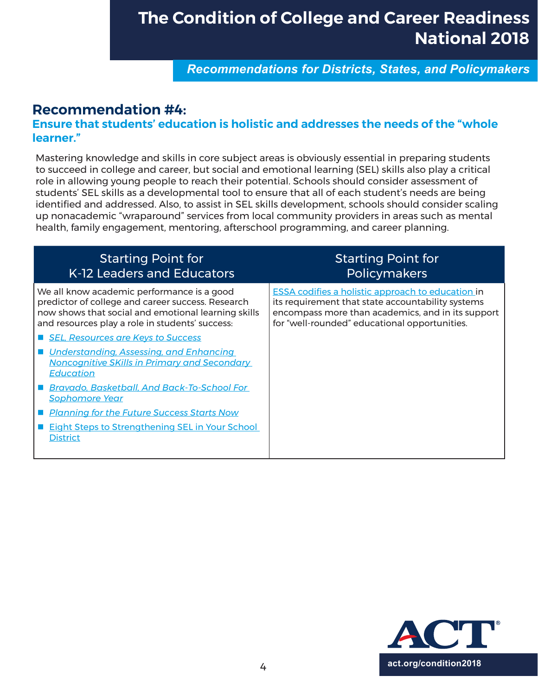*Recommendations for Districts, States, and Policymakers*

## **Recommendation #4:**

#### **Ensure that students' education is holistic and addresses the needs of the "whole learner."**

Mastering knowledge and skills in core subject areas is obviously essential in preparing students to succeed in college and career, but social and emotional learning (SEL) skills also play a critical role in allowing young people to reach their potential. Schools should consider assessment of students' SEL skills as a developmental tool to ensure that all of each student's needs are being identified and addressed. Also, to assist in SEL skills development, schools should consider scaling up nonacademic "wraparound" services from local community providers in areas such as mental health, family engagement, mentoring, afterschool programming, and career planning.

| <b>Starting Point for</b><br>K-12 Leaders and Educators                                                                                                                                                   | <b>Starting Point for</b><br><b>Policymakers</b>                                                                                                                                                                    |
|-----------------------------------------------------------------------------------------------------------------------------------------------------------------------------------------------------------|---------------------------------------------------------------------------------------------------------------------------------------------------------------------------------------------------------------------|
| We all know academic performance is a good<br>predictor of college and career success. Research<br>now shows that social and emotional learning skills<br>and resources play a role in students' success: | <b>ESSA codifies a holistic approach to education in</b><br>its requirement that state accountability systems<br>encompass more than academics, and in its support<br>for "well-rounded" educational opportunities. |
| <b>SEL, Resources are Keys to Success</b>                                                                                                                                                                 |                                                                                                                                                                                                                     |
| <u>Understanding, Assessing, and Enhancing</u><br>Noncognitive SKills in Primary and Secondary<br><b>Education</b>                                                                                        |                                                                                                                                                                                                                     |
| <b>Bravado, Basketball, And Back-To-School For</b><br><u>Sophomore Year</u>                                                                                                                               |                                                                                                                                                                                                                     |
| <u>I Planning for the Future Success Starts Now</u>                                                                                                                                                       |                                                                                                                                                                                                                     |
| <b>Eight Steps to Strengthening SEL in Your School</b><br><b>District</b>                                                                                                                                 |                                                                                                                                                                                                                     |